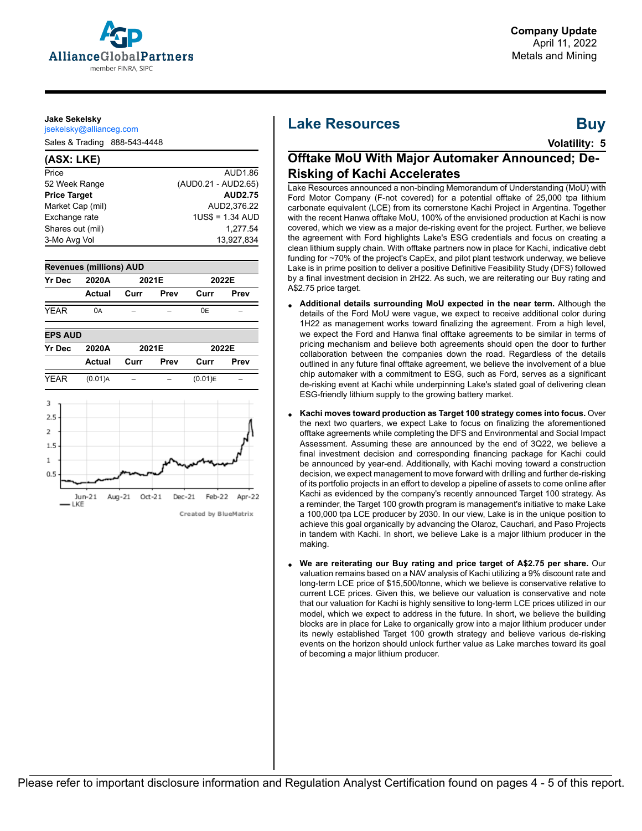

#### **Jake Sekelsky**

jsekelsky@allianceg.com

Sales & Trading 888-543-4448

#### **(ASX: LKE)** Price AUD1.86 52 Week Range (AUD0.21 - AUD2.65) **Price Target AUD2.75** Market Cap (mil) AUD2,376.22 Exchange rate 1US\$ = 1.34 AUD Shares out (mil) 1,277.54 3-Mo Avg Vol 2012 2022 2022 2022 2034





# **Lake Resources Buy**

**Volatility: 5**

# **Offtake MoU With Major Automaker Announced; De-Risking of Kachi Accelerates**

Lake Resources announced a non-binding Memorandum of Understanding (MoU) with Ford Motor Company (F-not covered) for a potential offtake of 25,000 tpa lithium carbonate equivalent (LCE) from its cornerstone Kachi Project in Argentina. Together with the recent Hanwa offtake MoU, 100% of the envisioned production at Kachi is now covered, which we view as a major de-risking event for the project. Further, we believe the agreement with Ford highlights Lake's ESG credentials and focus on creating a clean lithium supply chain. With offtake partners now in place for Kachi, indicative debt funding for ~70% of the project's CapEx, and pilot plant testwork underway, we believe Lake is in prime position to deliver a positive Definitive Feasibility Study (DFS) followed by a final investment decision in 2H22. As such, we are reiterating our Buy rating and A\$2.75 price target.

- **Additional details surrounding MoU expected in the near term.** Although the details of the Ford MoU were vague, we expect to receive additional color during 1H22 as management works toward finalizing the agreement. From a high level, we expect the Ford and Hanwa final offtake agreements to be similar in terms of pricing mechanism and believe both agreements should open the door to further collaboration between the companies down the road. Regardless of the details outlined in any future final offtake agreement, we believe the involvement of a blue chip automaker with a commitment to ESG, such as Ford, serves as a significant de-risking event at Kachi while underpinning Lake's stated goal of delivering clean ESG-friendly lithium supply to the growing battery market.
- **Kachi moves toward production as Target 100 strategy comes into focus.** Over the next two quarters, we expect Lake to focus on finalizing the aforementioned offtake agreements while completing the DFS and Environmental and Social Impact Assessment. Assuming these are announced by the end of 3Q22, we believe a final investment decision and corresponding financing package for Kachi could be announced by year-end. Additionally, with Kachi moving toward a construction decision, we expect management to move forward with drilling and further de-risking of its portfolio projects in an effort to develop a pipeline of assets to come online after Kachi as evidenced by the company's recently announced Target 100 strategy. As a reminder, the Target 100 growth program is management's initiative to make Lake a 100,000 tpa LCE producer by 2030. In our view, Lake is in the unique position to achieve this goal organically by advancing the Olaroz, Cauchari, and Paso Projects in tandem with Kachi. In short, we believe Lake is a major lithium producer in the making.
- **We are reiterating our Buy rating and price target of A\$2.75 per share.** Our valuation remains based on a NAV analysis of Kachi utilizing a 9% discount rate and long-term LCE price of \$15,500/tonne, which we believe is conservative relative to current LCE prices. Given this, we believe our valuation is conservative and note that our valuation for Kachi is highly sensitive to long-term LCE prices utilized in our model, which we expect to address in the future. In short, we believe the building blocks are in place for Lake to organically grow into a major lithium producer under its newly established Target 100 growth strategy and believe various de-risking events on the horizon should unlock further value as Lake marches toward its goal of becoming a major lithium producer.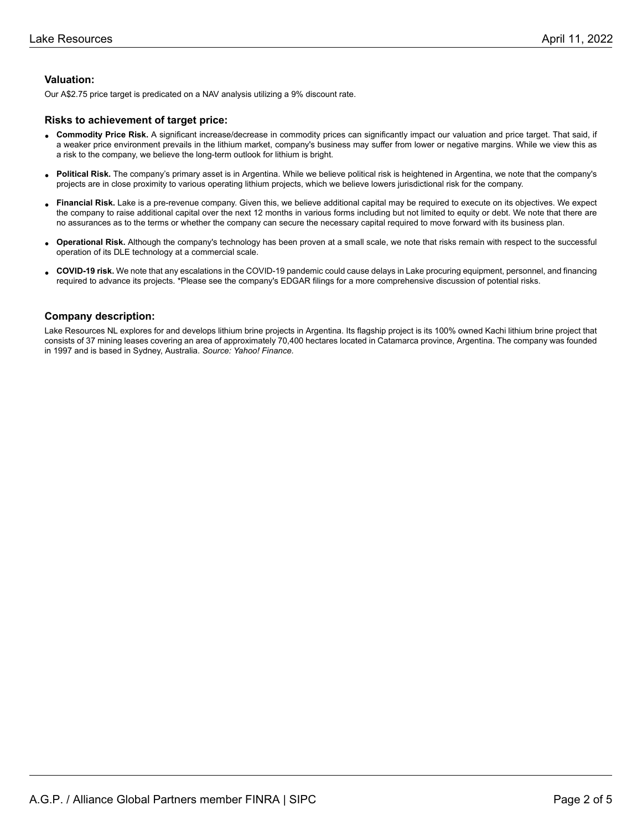### **Valuation:**

Our A\$2.75 price target is predicated on a NAV analysis utilizing a 9% discount rate.

#### **Risks to achievement of target price:**

- **Commodity Price Risk.** A significant increase/decrease in commodity prices can significantly impact our valuation and price target. That said, if<br>a weaker arise environment proveils in the lithium market, company's hygine a weaker price environment prevails in the lithium market, company's business may suffer from lower or negative margins. While we view this as a risk to the company, we believe the long-term outlook for lithium is bright.
- **Political Risk.** The company's primary asset is in Argentina. While we believe political risk is heightened in Argentina, we note that the company's projects are in close proximity to various operating lithium projects, which we believe lowers jurisdictional risk for the company.
- **Financial Risk.** Lake is a pre-revenue company. Given this, we believe additional capital may be required to execute on its objectives. We expect is a pre-revenue company. Given this, we believe additional capital may be the company to raise additional capital over the next 12 months in various forms including but not limited to equity or debt. We note that there are no assurances as to the terms or whether the company can secure the necessary capital required to move forward with its business plan.
- **Operational Risk.** Although the company's technology has been proven at a small scale, we note that risks remain with respect to the successful operation of its DLE technology at a commercial scale.
- **COVID-19 risk.** We note that any escalations in the COVID-19 pandemic could cause delays in Lake procuring equipment, personnel, and financing required to advance its projects. \*Please see the company's EDGAR filings for a more comprehensive discussion of potential risks.

#### **Company description:**

Lake Resources NL explores for and develops lithium brine projects in Argentina. Its flagship project is its 100% owned Kachi lithium brine project that consists of 37 mining leases covering an area of approximately 70,400 hectares located in Catamarca province, Argentina. The company was founded in 1997 and is based in Sydney, Australia. *Source: Yahoo! Finance.*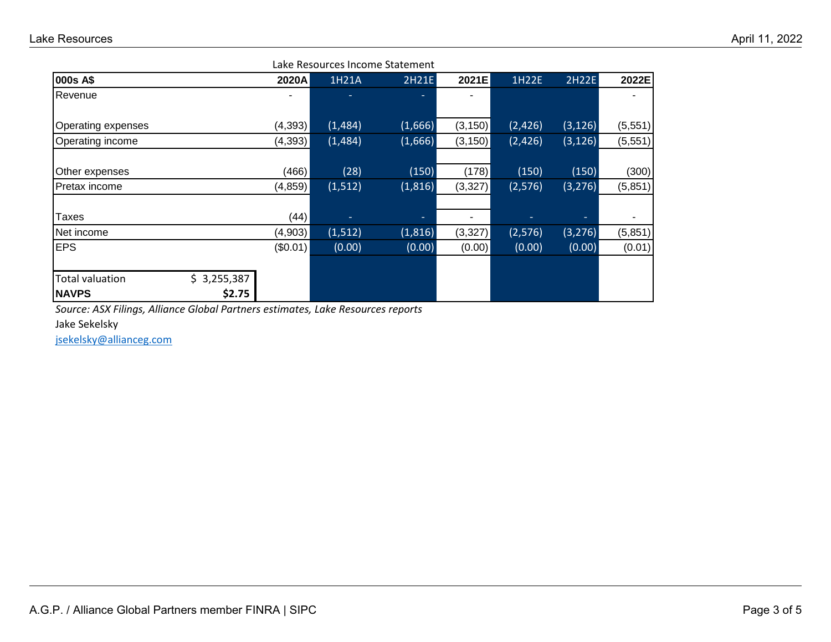| Lake Resources Income Statement |                       |          |          |         |          |         |          |          |
|---------------------------------|-----------------------|----------|----------|---------|----------|---------|----------|----------|
| 000s A\$                        |                       | 2020A    | 1H21A    | 2H21E   | 2021E    | 1H22E   | 2H22E    | 2022E    |
| Revenue                         |                       |          |          | ۰.      | ۰        |         |          |          |
| Operating expenses              |                       | (4,393)  | (1,484)  | (1,666) | (3, 150) | (2,426) | (3, 126) | (5, 551) |
| Operating income                |                       | (4,393)  | (1,484)  | (1,666) | (3, 150) | (2,426) | (3, 126) | (5,551)  |
| Other expenses                  |                       | (466)    | (28)     | (150)   | (178)    | (150)   | (150)    | (300)    |
| Pretax income                   |                       | (4, 859) | (1,512)  | (1,816) | (3,327)  | (2,576) | (3, 276) | (5,851)  |
| Taxes                           |                       | (44)     | ٠        | ٠       | ٠        |         |          |          |
| Net income                      |                       | (4,903)  | (1, 512) | (1,816) | (3,327)  | (2,576) | (3, 276) | (5,851)  |
| <b>EPS</b>                      |                       | (\$0.01) | (0.00)   | (0.00)  | (0.00)   | (0.00)  | (0.00)   | (0.01)   |
| Total valuation<br><b>NAVPS</b> | \$3,255,387<br>\$2.75 |          |          |         |          |         |          |          |
|                                 |                       |          |          |         |          |         |          |          |

*Source: ASX Filings, Alliance Global Partners estimates, Lake Resources reports*

Jake Sekelsky

[jsekelsky@allianceg.com](mailto:jsekelsky@allianceg.com)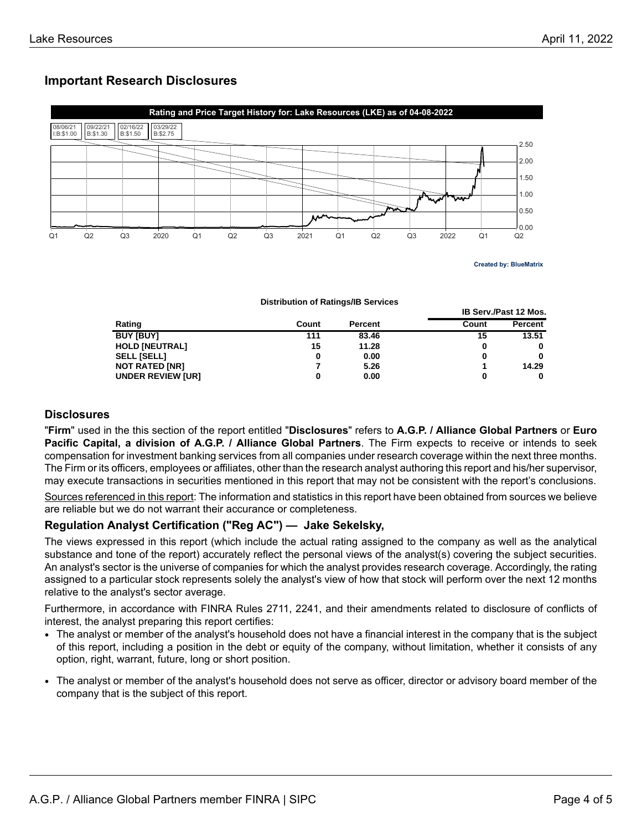# **Important Research Disclosures**



**Created by: BlueMatrix**

**IB Serv./Past 12 Mos.**

**Distribution of Ratings/IB Services**

|                          |       |                | .     |         |  |
|--------------------------|-------|----------------|-------|---------|--|
| Rating                   | Count | <b>Percent</b> | Count | Percent |  |
| <b>BUY [BUY]</b>         | 111   | 83.46          | 15    | 13.51   |  |
| <b>HOLD [NEUTRAL]</b>    | 15    | 11.28          | 0     |         |  |
| <b>SELL [SELL]</b>       |       | 0.00           | 0     | 0       |  |
| <b>NOT RATED [NR]</b>    |       | 5.26           |       | 14.29   |  |
| <b>UNDER REVIEW [UR]</b> |       | 0.00           | 0     |         |  |

## **Disclosures**

"**Firm**" used in the this section of the report entitled "**Disclosures**" refers to **A.G.P. / Alliance Global Partners** or **Euro Pacific Capital, a division of A.G.P. / Alliance Global Partners**. The Firm expects to receive or intends to seek compensation for investment banking services from all companies under research coverage within the next three months. The Firm or its officers, employees or affiliates, other than the research analyst authoring this report and his/her supervisor, may execute transactions in securities mentioned in this report that may not be consistent with the report's conclusions.

Sources referenced in this report: The information and statistics in this report have been obtained from sources we believe are reliable but we do not warrant their accurance or completeness.

## **Regulation Analyst Certification ("Reg AC") — Jake Sekelsky,**

The views expressed in this report (which include the actual rating assigned to the company as well as the analytical substance and tone of the report) accurately reflect the personal views of the analyst(s) covering the subject securities. An analyst's sector is the universe of companies for which the analyst provides research coverage. Accordingly, the rating assigned to a particular stock represents solely the analyst's view of how that stock will perform over the next 12 months relative to the analyst's sector average.

Furthermore, in accordance with FINRA Rules 2711, 2241, and their amendments related to disclosure of conflicts of interest, the analyst preparing this report certifies:

- The analyst or member of the analyst's household does not have a financial interest in the company that is the subject of this report, including a position in the debt or equity of the company, without limitation, whether it consists of any option, right, warrant, future, long or short position.
- The analyst or member of the analyst's household does not serve as officer, director or advisory board member of the company that is the subject of this report.